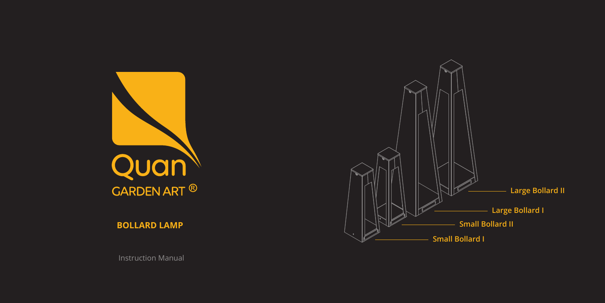Instruction Manual



**BOLLARD LAMP**



## **Small Bollard II Large Bollard I**

**Large Bollard II**